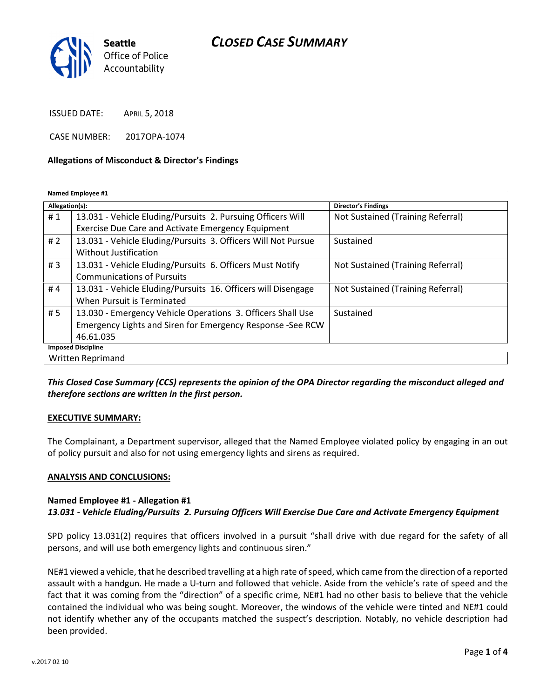# CLOSED CASE SUMMARY



ISSUED DATE: APRIL 5, 2018

CASE NUMBER: 2017OPA-1074

#### Allegations of Misconduct & Director's Findings

Named Employee #1

| Allegation(s):            |                                                               | <b>Director's Findings</b>        |
|---------------------------|---------------------------------------------------------------|-----------------------------------|
| #1                        | 13.031 - Vehicle Eluding/Pursuits 2. Pursuing Officers Will   | Not Sustained (Training Referral) |
|                           | Exercise Due Care and Activate Emergency Equipment            |                                   |
| #2                        | 13.031 - Vehicle Eluding/Pursuits 3. Officers Will Not Pursue | Sustained                         |
|                           | Without Justification                                         |                                   |
| #3                        | 13.031 - Vehicle Eluding/Pursuits 6. Officers Must Notify     | Not Sustained (Training Referral) |
|                           | <b>Communications of Pursuits</b>                             |                                   |
| #4                        | 13.031 - Vehicle Eluding/Pursuits 16. Officers will Disengage | Not Sustained (Training Referral) |
|                           | When Pursuit is Terminated                                    |                                   |
| # 5                       | 13.030 - Emergency Vehicle Operations 3. Officers Shall Use   | Sustained                         |
|                           | Emergency Lights and Siren for Emergency Response -See RCW    |                                   |
|                           | 46.61.035                                                     |                                   |
| <b>Imposed Discipline</b> |                                                               |                                   |
| Written Reprimand         |                                                               |                                   |

This Closed Case Summary (CCS) represents the opinion of the OPA Director regarding the misconduct alleged and therefore sections are written in the first person.

#### EXECUTIVE SUMMARY:

The Complainant, a Department supervisor, alleged that the Named Employee violated policy by engaging in an out of policy pursuit and also for not using emergency lights and sirens as required.

#### ANALYSIS AND CONCLUSIONS:

#### Named Employee #1 - Allegation #1

13.031 - Vehicle Eluding/Pursuits 2. Pursuing Officers Will Exercise Due Care and Activate Emergency Equipment

SPD policy 13.031(2) requires that officers involved in a pursuit "shall drive with due regard for the safety of all persons, and will use both emergency lights and continuous siren."

NE#1 viewed a vehicle, that he described travelling at a high rate of speed, which came from the direction of a reported assault with a handgun. He made a U-turn and followed that vehicle. Aside from the vehicle's rate of speed and the fact that it was coming from the "direction" of a specific crime, NE#1 had no other basis to believe that the vehicle contained the individual who was being sought. Moreover, the windows of the vehicle were tinted and NE#1 could not identify whether any of the occupants matched the suspect's description. Notably, no vehicle description had been provided.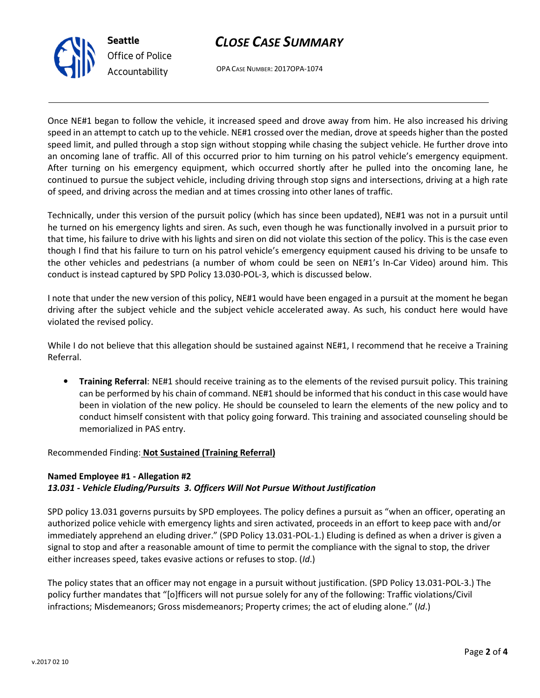



OPA CASE NUMBER: 2017OPA-1074

Once NE#1 began to follow the vehicle, it increased speed and drove away from him. He also increased his driving speed in an attempt to catch up to the vehicle. NE#1 crossed over the median, drove at speeds higher than the posted speed limit, and pulled through a stop sign without stopping while chasing the subject vehicle. He further drove into an oncoming lane of traffic. All of this occurred prior to him turning on his patrol vehicle's emergency equipment. After turning on his emergency equipment, which occurred shortly after he pulled into the oncoming lane, he continued to pursue the subject vehicle, including driving through stop signs and intersections, driving at a high rate of speed, and driving across the median and at times crossing into other lanes of traffic.

Technically, under this version of the pursuit policy (which has since been updated), NE#1 was not in a pursuit until he turned on his emergency lights and siren. As such, even though he was functionally involved in a pursuit prior to that time, his failure to drive with his lights and siren on did not violate this section of the policy. This is the case even though I find that his failure to turn on his patrol vehicle's emergency equipment caused his driving to be unsafe to the other vehicles and pedestrians (a number of whom could be seen on NE#1's In-Car Video) around him. This conduct is instead captured by SPD Policy 13.030-POL-3, which is discussed below.

I note that under the new version of this policy, NE#1 would have been engaged in a pursuit at the moment he began driving after the subject vehicle and the subject vehicle accelerated away. As such, his conduct here would have violated the revised policy.

While I do not believe that this allegation should be sustained against NE#1, I recommend that he receive a Training Referral.

• Training Referral: NE#1 should receive training as to the elements of the revised pursuit policy. This training can be performed by his chain of command. NE#1 should be informed that his conduct in this case would have been in violation of the new policy. He should be counseled to learn the elements of the new policy and to conduct himself consistent with that policy going forward. This training and associated counseling should be memorialized in PAS entry.

Recommended Finding: Not Sustained (Training Referral)

### Named Employee #1 - Allegation #2 13.031 - Vehicle Eluding/Pursuits 3. Officers Will Not Pursue Without Justification

SPD policy 13.031 governs pursuits by SPD employees. The policy defines a pursuit as "when an officer, operating an authorized police vehicle with emergency lights and siren activated, proceeds in an effort to keep pace with and/or immediately apprehend an eluding driver." (SPD Policy 13.031-POL-1.) Eluding is defined as when a driver is given a signal to stop and after a reasonable amount of time to permit the compliance with the signal to stop, the driver either increases speed, takes evasive actions or refuses to stop. (Id.)

The policy states that an officer may not engage in a pursuit without justification. (SPD Policy 13.031-POL-3.) The policy further mandates that "[o]fficers will not pursue solely for any of the following: Traffic violations/Civil infractions; Misdemeanors; Gross misdemeanors; Property crimes; the act of eluding alone." (Id.)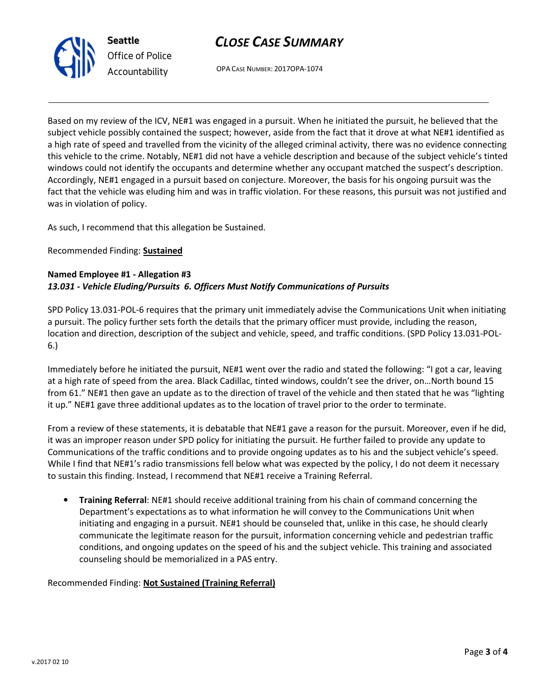



OPA CASE NUMBER: 2017OPA-1074

Based on my review of the ICV, NE#1 was engaged in a pursuit. When he initiated the pursuit, he believed that the subject vehicle possibly contained the suspect; however, aside from the fact that it drove at what NE#1 identified as a high rate of speed and travelled from the vicinity of the alleged criminal activity, there was no evidence connecting this vehicle to the crime. Notably, NE#1 did not have a vehicle description and because of the subject vehicle's tinted windows could not identify the occupants and determine whether any occupant matched the suspect's description. Accordingly, NE#1 engaged in a pursuit based on conjecture. Moreover, the basis for his ongoing pursuit was the fact that the vehicle was eluding him and was in traffic violation. For these reasons, this pursuit was not justified and was in violation of policy.

As such, I recommend that this allegation be Sustained.

## Recommended Finding: Sustained

## Named Employee #1 - Allegation #3 13.031 - Vehicle Eluding/Pursuits 6. Officers Must Notify Communications of Pursuits

SPD Policy 13.031-POL-6 requires that the primary unit immediately advise the Communications Unit when initiating a pursuit. The policy further sets forth the details that the primary officer must provide, including the reason, location and direction, description of the subject and vehicle, speed, and traffic conditions. (SPD Policy 13.031-POL-6.)

Immediately before he initiated the pursuit, NE#1 went over the radio and stated the following: "I got a car, leaving at a high rate of speed from the area. Black Cadillac, tinted windows, couldn't see the driver, on…North bound 15 from 61." NE#1 then gave an update as to the direction of travel of the vehicle and then stated that he was "lighting it up." NE#1 gave three additional updates as to the location of travel prior to the order to terminate.

From a review of these statements, it is debatable that NE#1 gave a reason for the pursuit. Moreover, even if he did, it was an improper reason under SPD policy for initiating the pursuit. He further failed to provide any update to Communications of the traffic conditions and to provide ongoing updates as to his and the subject vehicle's speed. While I find that NE#1's radio transmissions fell below what was expected by the policy, I do not deem it necessary to sustain this finding. Instead, I recommend that NE#1 receive a Training Referral.

• Training Referral: NE#1 should receive additional training from his chain of command concerning the Department's expectations as to what information he will convey to the Communications Unit when initiating and engaging in a pursuit. NE#1 should be counseled that, unlike in this case, he should clearly communicate the legitimate reason for the pursuit, information concerning vehicle and pedestrian traffic conditions, and ongoing updates on the speed of his and the subject vehicle. This training and associated counseling should be memorialized in a PAS entry.

## Recommended Finding: Not Sustained (Training Referral)